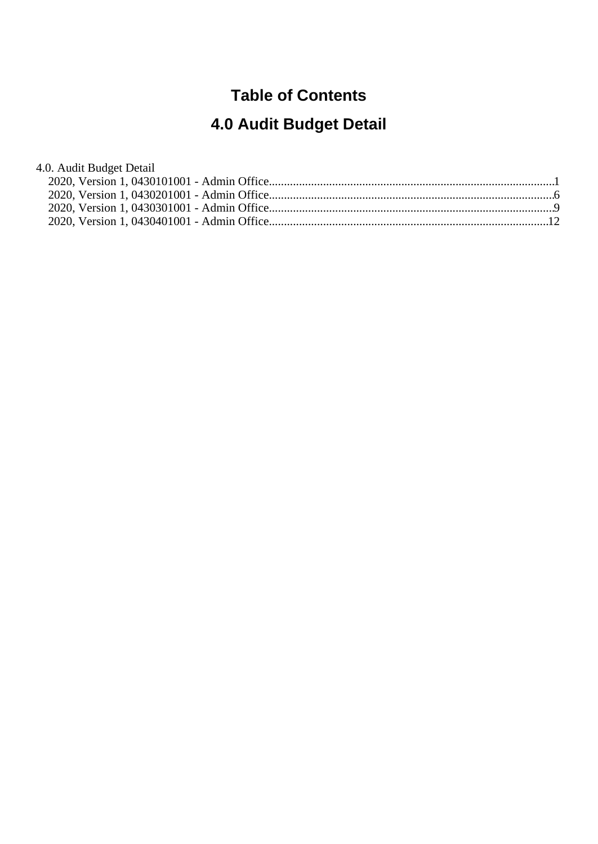# **Table of Contents**

# **4.0 Audit Budget Detail**

| 4.0. Audit Budget Detail |  |
|--------------------------|--|
|                          |  |
|                          |  |
|                          |  |
|                          |  |
|                          |  |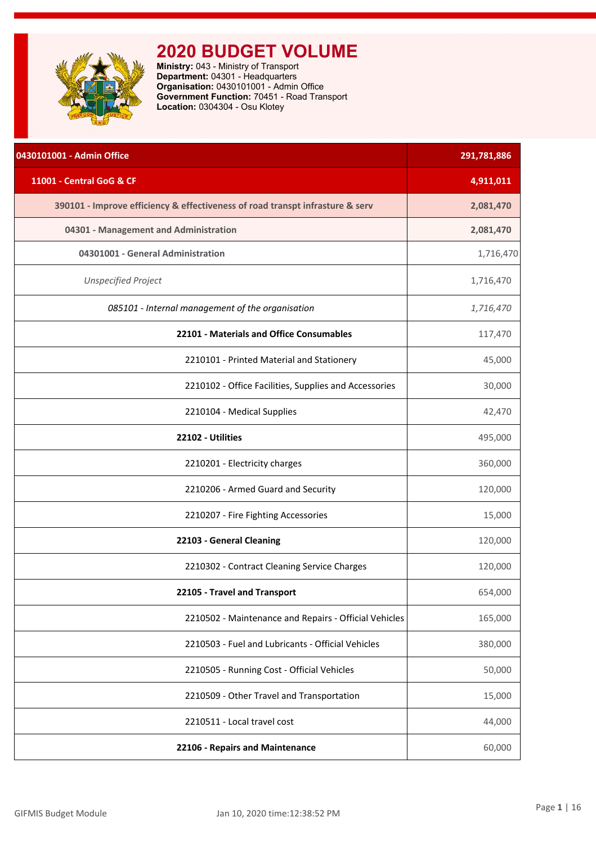<span id="page-1-0"></span>

| 0430101001 - Admin Office                                                     | 291,781,886 |
|-------------------------------------------------------------------------------|-------------|
| 11001 - Central GoG & CF                                                      | 4,911,011   |
| 390101 - Improve efficiency & effectiveness of road transpt infrasture & serv | 2,081,470   |
| 04301 - Management and Administration                                         | 2,081,470   |
| 04301001 - General Administration                                             | 1,716,470   |
| <b>Unspecified Project</b>                                                    | 1,716,470   |
| 085101 - Internal management of the organisation                              | 1,716,470   |
| 22101 - Materials and Office Consumables                                      | 117,470     |
| 2210101 - Printed Material and Stationery                                     | 45,000      |
| 2210102 - Office Facilities, Supplies and Accessories                         | 30,000      |
| 2210104 - Medical Supplies                                                    | 42,470      |
| 22102 - Utilities                                                             | 495,000     |
| 2210201 - Electricity charges                                                 | 360,000     |
| 2210206 - Armed Guard and Security                                            | 120,000     |
| 2210207 - Fire Fighting Accessories                                           | 15,000      |
| 22103 - General Cleaning                                                      | 120,000     |
| 2210302 - Contract Cleaning Service Charges                                   | 120,000     |
| 22105 - Travel and Transport                                                  | 654,000     |
| 2210502 - Maintenance and Repairs - Official Vehicles                         | 165,000     |
| 2210503 - Fuel and Lubricants - Official Vehicles                             | 380,000     |
| 2210505 - Running Cost - Official Vehicles                                    | 50,000      |
| 2210509 - Other Travel and Transportation                                     | 15,000      |
| 2210511 - Local travel cost                                                   | 44,000      |
| 22106 - Repairs and Maintenance                                               | 60,000      |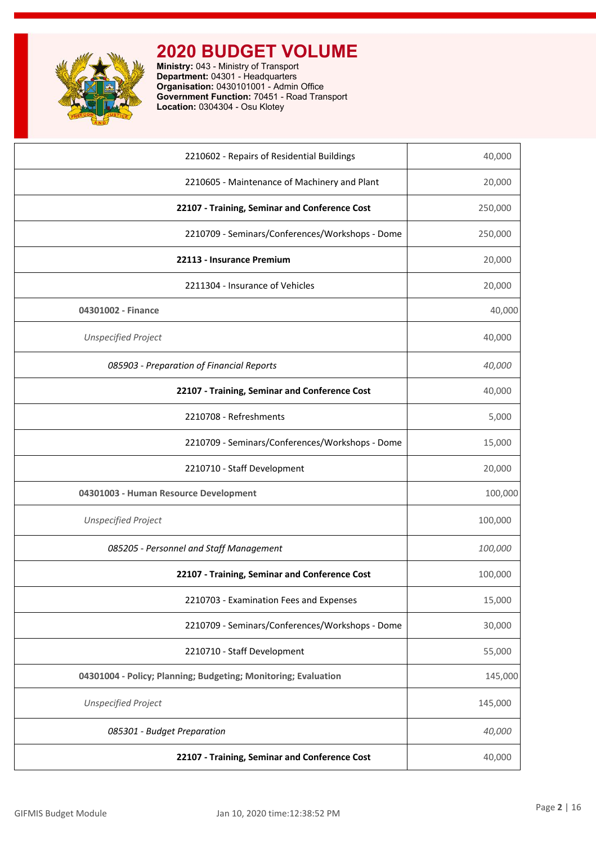

| 22107 - Training, Seminar and Conference Cost                  | 40,000  |
|----------------------------------------------------------------|---------|
| 085301 - Budget Preparation                                    | 40,000  |
| <b>Unspecified Project</b>                                     | 145,000 |
| 04301004 - Policy; Planning; Budgeting; Monitoring; Evaluation | 145,000 |
| 2210710 - Staff Development                                    | 55,000  |
| 2210709 - Seminars/Conferences/Workshops - Dome                | 30,000  |
| 2210703 - Examination Fees and Expenses                        | 15,000  |
| 22107 - Training, Seminar and Conference Cost                  | 100,000 |
| 085205 - Personnel and Staff Management                        | 100,000 |
| <b>Unspecified Project</b>                                     | 100,000 |
| 04301003 - Human Resource Development                          | 100,000 |
| 2210710 - Staff Development                                    | 20,000  |
| 2210709 - Seminars/Conferences/Workshops - Dome                | 15,000  |
| 2210708 - Refreshments                                         | 5,000   |
| 22107 - Training, Seminar and Conference Cost                  | 40,000  |
| 085903 - Preparation of Financial Reports                      | 40,000  |
| <b>Unspecified Project</b>                                     | 40,000  |
| 04301002 - Finance                                             | 40,000  |
| 2211304 - Insurance of Vehicles                                | 20,000  |
| 22113 - Insurance Premium                                      | 20,000  |
| 2210709 - Seminars/Conferences/Workshops - Dome                | 250,000 |
| 22107 - Training, Seminar and Conference Cost                  | 250,000 |
| 2210605 - Maintenance of Machinery and Plant                   | 20,000  |
| 2210602 - Repairs of Residential Buildings                     | 40,000  |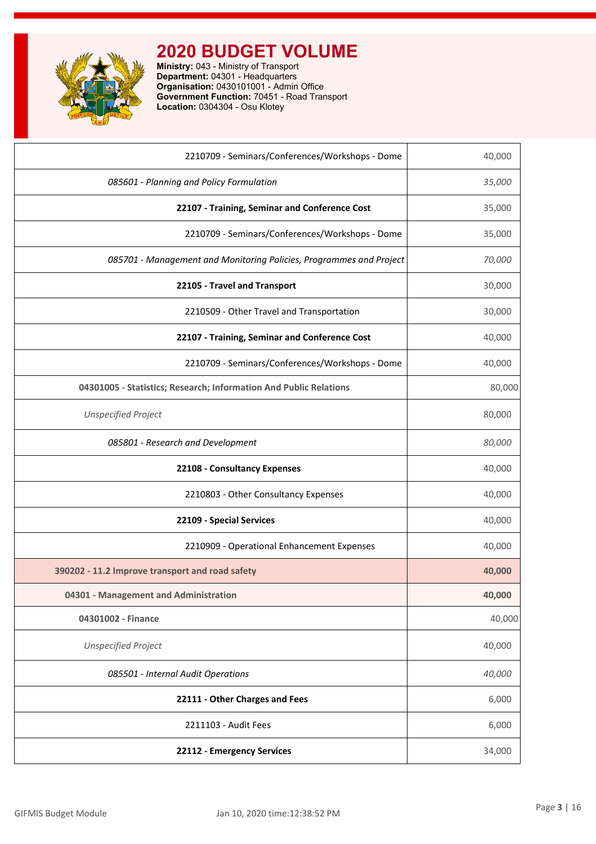

| 2210709 - Seminars/Conferences/Workshops - Dome                     | 40,000 |
|---------------------------------------------------------------------|--------|
| 085601 - Planning and Policy Formulation                            | 35,000 |
| 22107 - Training, Seminar and Conference Cost                       | 35,000 |
| 2210709 - Seminars/Conferences/Workshops - Dome                     | 35,000 |
| 085701 - Management and Monitoring Policies, Programmes and Project | 70,000 |
| 22105 - Travel and Transport                                        | 30,000 |
| 2210509 - Other Travel and Transportation                           | 30,000 |
| 22107 - Training, Seminar and Conference Cost                       | 40,000 |
| 2210709 - Seminars/Conferences/Workshops - Dome                     | 40,000 |
| 04301005 - Statistics; Research; Information And Public Relations   | 80,000 |
| <b>Unspecified Project</b>                                          | 80,000 |
| 085801 - Research and Development                                   | 80,000 |
| 22108 - Consultancy Expenses                                        | 40,000 |
| 2210803 - Other Consultancy Expenses                                | 40,000 |
| 22109 - Special Services                                            | 40,000 |
| 2210909 - Operational Enhancement Expenses                          | 40,000 |
| 390202 - 11.2 Improve transport and road safety                     | 40,000 |
| 04301 - Management and Administration                               | 40,000 |
| 04301002 - Finance                                                  | 40,000 |
| <b>Unspecified Project</b>                                          | 40,000 |
| 085501 - Internal Audit Operations                                  | 40,000 |
| 22111 - Other Charges and Fees                                      | 6,000  |
| 2211103 - Audit Fees                                                | 6,000  |
| 22112 - Emergency Services                                          | 34,000 |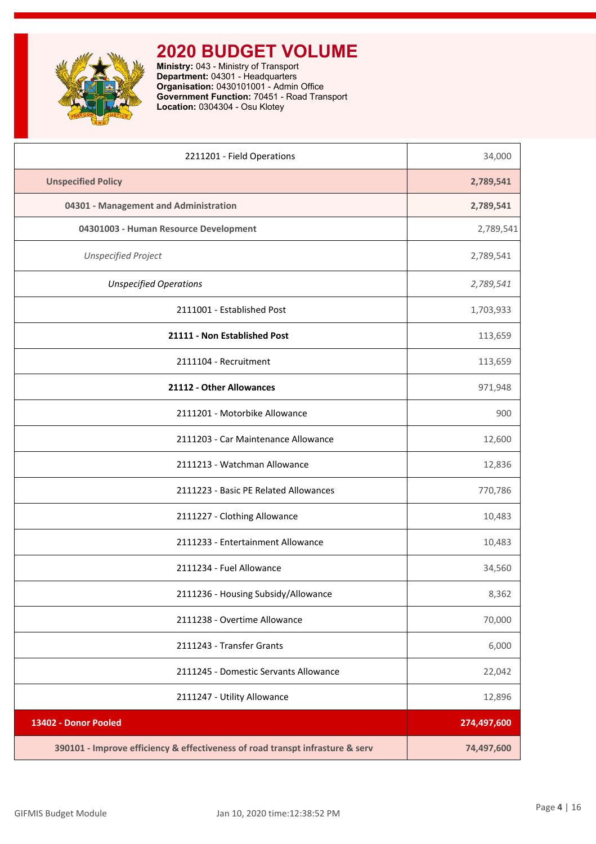

| 2211201 - Field Operations                                                    | 34,000      |
|-------------------------------------------------------------------------------|-------------|
| <b>Unspecified Policy</b>                                                     | 2,789,541   |
| 04301 - Management and Administration                                         | 2,789,541   |
| 04301003 - Human Resource Development                                         | 2,789,541   |
| <b>Unspecified Project</b>                                                    | 2,789,541   |
| <b>Unspecified Operations</b>                                                 | 2,789,541   |
| 2111001 - Established Post                                                    | 1,703,933   |
| 21111 - Non Established Post                                                  | 113,659     |
| 2111104 - Recruitment                                                         | 113,659     |
| 21112 - Other Allowances                                                      | 971,948     |
| 2111201 - Motorbike Allowance                                                 | 900         |
| 2111203 - Car Maintenance Allowance                                           | 12,600      |
| 2111213 - Watchman Allowance                                                  | 12,836      |
| 2111223 - Basic PE Related Allowances                                         | 770,786     |
| 2111227 - Clothing Allowance                                                  | 10,483      |
| 2111233 - Entertainment Allowance                                             | 10,483      |
| 2111234 - Fuel Allowance                                                      | 34,560      |
| 2111236 - Housing Subsidy/Allowance                                           | 8,362       |
| 2111238 - Overtime Allowance                                                  | 70,000      |
| 2111243 - Transfer Grants                                                     | 6,000       |
| 2111245 - Domestic Servants Allowance                                         | 22,042      |
| 2111247 - Utility Allowance                                                   | 12,896      |
| 13402 - Donor Pooled                                                          | 274,497,600 |
| 390101 - Improve efficiency & effectiveness of road transpt infrasture & serv | 74,497,600  |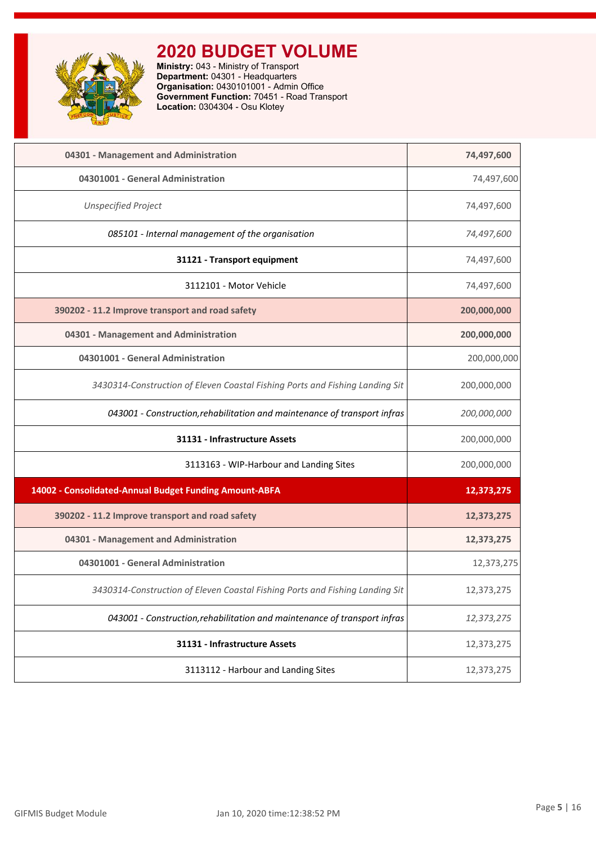

| 04301 - Management and Administration                                        | 74,497,600  |
|------------------------------------------------------------------------------|-------------|
| 04301001 - General Administration                                            | 74,497,600  |
| <b>Unspecified Project</b>                                                   | 74,497,600  |
| 085101 - Internal management of the organisation                             | 74,497,600  |
| 31121 - Transport equipment                                                  | 74,497,600  |
| 3112101 - Motor Vehicle                                                      | 74,497,600  |
| 390202 - 11.2 Improve transport and road safety                              | 200,000,000 |
| 04301 - Management and Administration                                        | 200,000,000 |
| 04301001 - General Administration                                            | 200,000,000 |
| 3430314-Construction of Eleven Coastal Fishing Ports and Fishing Landing Sit | 200,000,000 |
| 043001 - Construction, rehabilitation and maintenance of transport infras    | 200,000,000 |
| 31131 - Infrastructure Assets                                                | 200,000,000 |
| 3113163 - WIP-Harbour and Landing Sites                                      | 200,000,000 |
| 14002 - Consolidated-Annual Budget Funding Amount-ABFA                       | 12,373,275  |
| 390202 - 11.2 Improve transport and road safety                              | 12,373,275  |
| 04301 - Management and Administration                                        | 12,373,275  |
| 04301001 - General Administration                                            | 12,373,275  |
| 3430314-Construction of Eleven Coastal Fishing Ports and Fishing Landing Sit | 12,373,275  |
| 043001 - Construction, rehabilitation and maintenance of transport infras    | 12,373,275  |
| 31131 - Infrastructure Assets                                                | 12,373,275  |
| 3113112 - Harbour and Landing Sites                                          | 12,373,275  |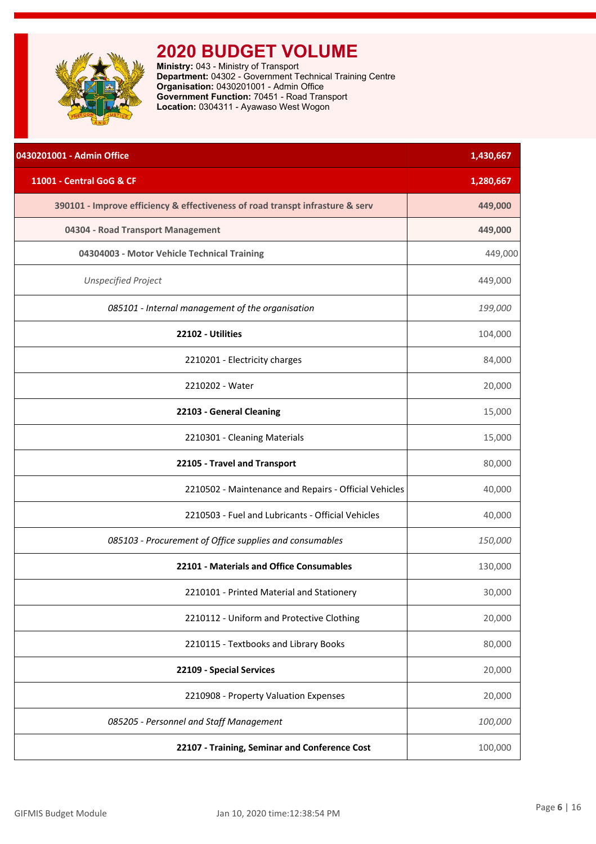<span id="page-6-0"></span>

**Ministry:** 043 - Ministry of Transport **Department:** 04302 - Government Technical Training Centre **Organisation:** 0430201001 - Admin Office **Government Function:** 70451 - Road Transport **Location:** 0304311 - Ayawaso West Wogon

| 0430201001 - Admin Office                                                     | 1,430,667 |
|-------------------------------------------------------------------------------|-----------|
| 11001 - Central GoG & CF                                                      | 1,280,667 |
| 390101 - Improve efficiency & effectiveness of road transpt infrasture & serv | 449,000   |
| 04304 - Road Transport Management                                             | 449,000   |
| 04304003 - Motor Vehicle Technical Training                                   | 449,000   |
| <b>Unspecified Project</b>                                                    | 449,000   |
| 085101 - Internal management of the organisation                              | 199,000   |
| 22102 - Utilities                                                             | 104,000   |
| 2210201 - Electricity charges                                                 | 84,000    |
| 2210202 - Water                                                               | 20,000    |
| 22103 - General Cleaning                                                      | 15,000    |
| 2210301 - Cleaning Materials                                                  | 15,000    |
| 22105 - Travel and Transport                                                  | 80,000    |
| 2210502 - Maintenance and Repairs - Official Vehicles                         | 40,000    |
| 2210503 - Fuel and Lubricants - Official Vehicles                             | 40,000    |
| 085103 - Procurement of Office supplies and consumables                       | 150,000   |
| 22101 - Materials and Office Consumables                                      | 130,000   |
| 2210101 - Printed Material and Stationery                                     | 30,000    |
| 2210112 - Uniform and Protective Clothing                                     | 20,000    |
| 2210115 - Textbooks and Library Books                                         | 80,000    |
| 22109 - Special Services                                                      | 20,000    |
| 2210908 - Property Valuation Expenses                                         | 20,000    |
| 085205 - Personnel and Staff Management                                       | 100,000   |
| 22107 - Training, Seminar and Conference Cost                                 | 100,000   |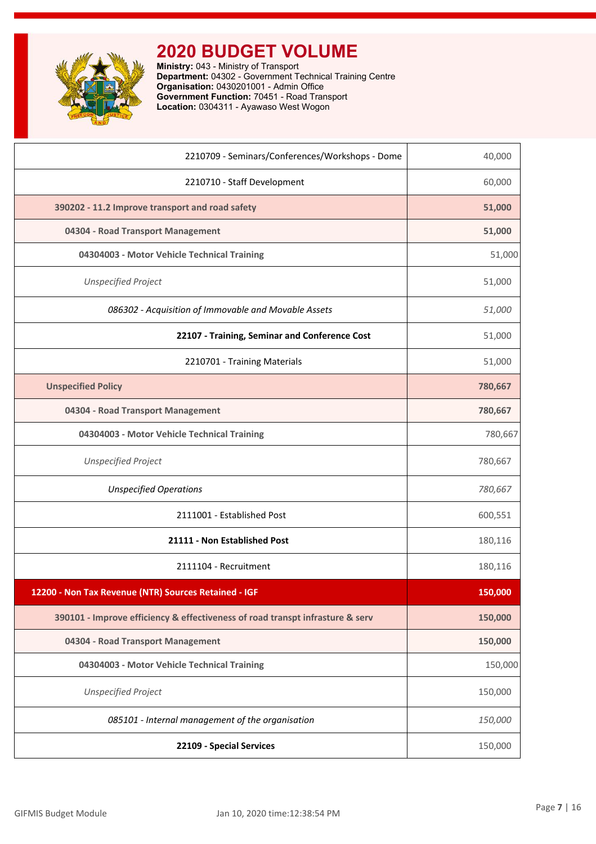

**Ministry:** 043 - Ministry of Transport **Department:** 04302 - Government Technical Training Centre **Organisation:** 0430201001 - Admin Office **Government Function:** 70451 - Road Transport **Location:** 0304311 - Ayawaso West Wogon

| 2210709 - Seminars/Conferences/Workshops - Dome                               | 40,000  |
|-------------------------------------------------------------------------------|---------|
| 2210710 - Staff Development                                                   | 60,000  |
| 390202 - 11.2 Improve transport and road safety                               | 51,000  |
| 04304 - Road Transport Management                                             | 51,000  |
| 04304003 - Motor Vehicle Technical Training                                   | 51,000  |
| <b>Unspecified Project</b>                                                    | 51,000  |
| 086302 - Acquisition of Immovable and Movable Assets                          | 51,000  |
| 22107 - Training, Seminar and Conference Cost                                 | 51,000  |
| 2210701 - Training Materials                                                  | 51,000  |
| <b>Unspecified Policy</b>                                                     | 780,667 |
| 04304 - Road Transport Management                                             | 780,667 |
| 04304003 - Motor Vehicle Technical Training                                   | 780,667 |
| <b>Unspecified Project</b>                                                    | 780,667 |
| <b>Unspecified Operations</b>                                                 | 780,667 |
| 2111001 - Established Post                                                    | 600,551 |
| 21111 - Non Established Post                                                  | 180,116 |
| 2111104 - Recruitment                                                         | 180,116 |
| 12200 - Non Tax Revenue (NTR) Sources Retained - IGF                          | 150,000 |
| 390101 - Improve efficiency & effectiveness of road transpt infrasture & serv | 150,000 |
| 04304 - Road Transport Management                                             | 150,000 |
| 04304003 - Motor Vehicle Technical Training                                   | 150,000 |
| <b>Unspecified Project</b>                                                    | 150,000 |
| 085101 - Internal management of the organisation                              | 150,000 |
| 22109 - Special Services                                                      | 150,000 |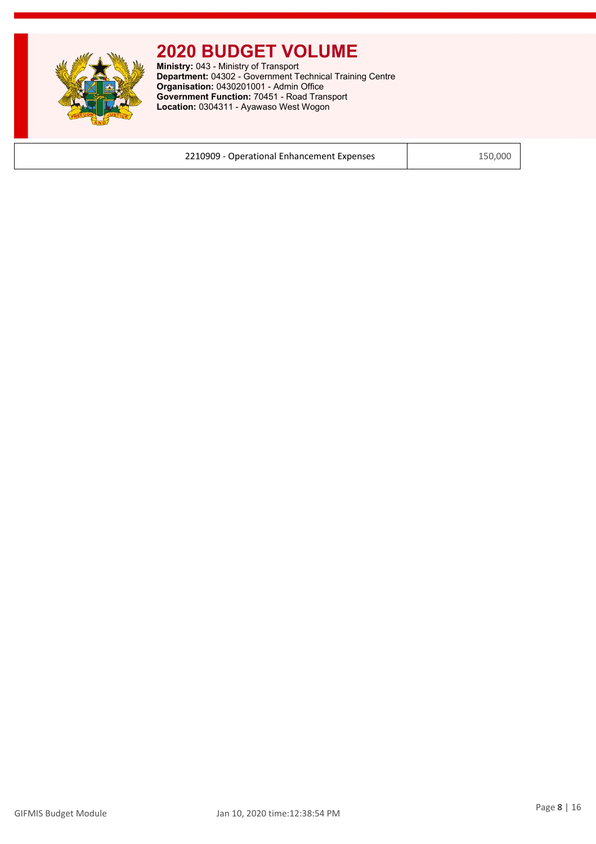

**Ministry:** 043 - Ministry of Transport **Department:** 04302 - Government Technical Training Centre **Organisation:** 0430201001 - Admin Office **Government Function:** 70451 - Road Transport **Location:** 0304311 - Ayawaso West Wogon

2210909 - Operational Enhancement Expenses | 150,000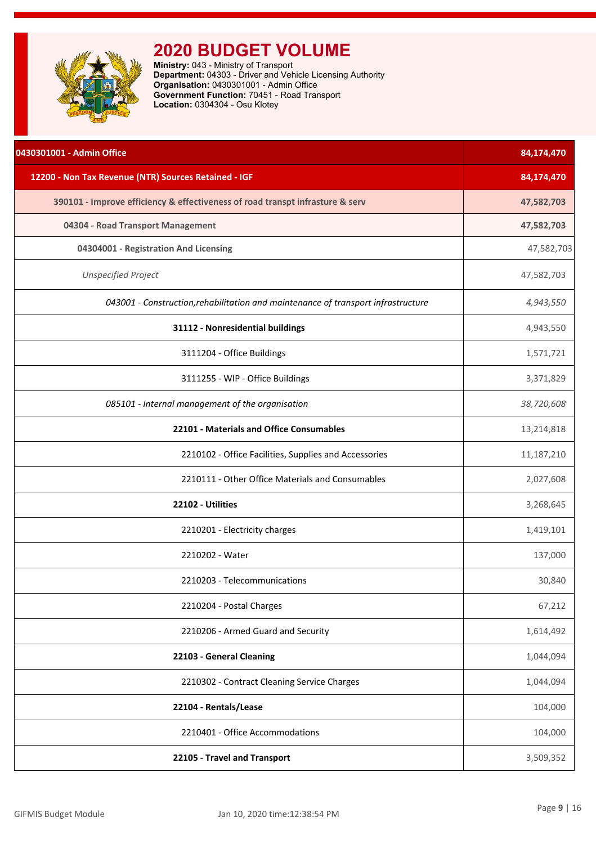<span id="page-9-0"></span>

**Ministry:** 043 - Ministry of Transport **Department:** 04303 - Driver and Vehicle Licensing Authority **Organisation:** 0430301001 - Admin Office **Government Function:** 70451 - Road Transport **Location:** 0304304 - Osu Klotey

| 0430301001 - Admin Office                                                         | 84,174,470 |
|-----------------------------------------------------------------------------------|------------|
| 12200 - Non Tax Revenue (NTR) Sources Retained - IGF                              | 84,174,470 |
| 390101 - Improve efficiency & effectiveness of road transpt infrasture & serv     | 47,582,703 |
| 04304 - Road Transport Management                                                 | 47,582,703 |
| 04304001 - Registration And Licensing                                             | 47,582,703 |
| <b>Unspecified Project</b>                                                        | 47,582,703 |
| 043001 - Construction, rehabilitation and maintenance of transport infrastructure | 4,943,550  |
| 31112 - Nonresidential buildings                                                  | 4,943,550  |
| 3111204 - Office Buildings                                                        | 1,571,721  |
| 3111255 - WIP - Office Buildings                                                  | 3,371,829  |
| 085101 - Internal management of the organisation                                  | 38,720,608 |
| 22101 - Materials and Office Consumables                                          | 13,214,818 |
| 2210102 - Office Facilities, Supplies and Accessories                             | 11,187,210 |
| 2210111 - Other Office Materials and Consumables                                  | 2,027,608  |
| 22102 - Utilities                                                                 | 3,268,645  |
| 2210201 - Electricity charges                                                     | 1,419,101  |
| 2210202 - Water                                                                   | 137,000    |
| 2210203 - Telecommunications                                                      | 30,840     |
| 2210204 - Postal Charges                                                          | 67,212     |
| 2210206 - Armed Guard and Security                                                | 1,614,492  |
| 22103 - General Cleaning                                                          | 1,044,094  |
| 2210302 - Contract Cleaning Service Charges                                       | 1,044,094  |
| 22104 - Rentals/Lease                                                             | 104,000    |
| 2210401 - Office Accommodations                                                   | 104,000    |
| 22105 - Travel and Transport                                                      | 3,509,352  |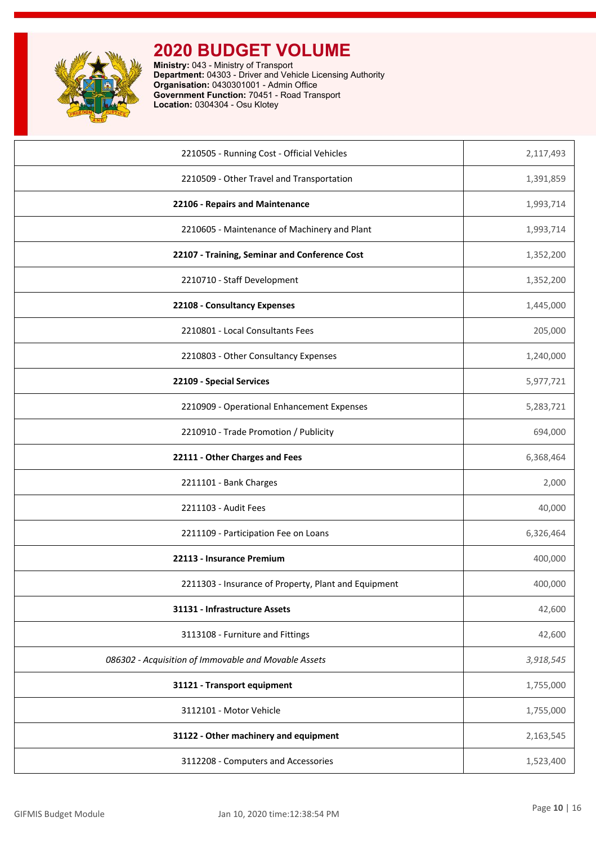

**Ministry:** 043 - Ministry of Transport **Department:** 04303 - Driver and Vehicle Licensing Authority **Organisation:** 0430301001 - Admin Office **Government Function:** 70451 - Road Transport **Location:** 0304304 - Osu Klotey

| 2210505 - Running Cost - Official Vehicles           | 2,117,493 |
|------------------------------------------------------|-----------|
|                                                      |           |
| 2210509 - Other Travel and Transportation            | 1,391,859 |
| 22106 - Repairs and Maintenance                      | 1,993,714 |
| 2210605 - Maintenance of Machinery and Plant         | 1,993,714 |
| 22107 - Training, Seminar and Conference Cost        | 1,352,200 |
| 2210710 - Staff Development                          | 1,352,200 |
| 22108 - Consultancy Expenses                         | 1,445,000 |
| 2210801 - Local Consultants Fees                     | 205,000   |
| 2210803 - Other Consultancy Expenses                 | 1,240,000 |
| 22109 - Special Services                             | 5,977,721 |
| 2210909 - Operational Enhancement Expenses           | 5,283,721 |
| 2210910 - Trade Promotion / Publicity                | 694,000   |
| 22111 - Other Charges and Fees                       | 6,368,464 |
| 2211101 - Bank Charges                               | 2,000     |
| 2211103 - Audit Fees                                 | 40,000    |
| 2211109 - Participation Fee on Loans                 | 6,326,464 |
| 22113 - Insurance Premium                            | 400,000   |
| 2211303 - Insurance of Property, Plant and Equipment | 400,000   |
| 31131 - Infrastructure Assets                        | 42,600    |
| 3113108 - Furniture and Fittings                     | 42,600    |
| 086302 - Acquisition of Immovable and Movable Assets | 3,918,545 |
| 31121 - Transport equipment                          | 1,755,000 |
| 3112101 - Motor Vehicle                              | 1,755,000 |
| 31122 - Other machinery and equipment                | 2,163,545 |
| 3112208 - Computers and Accessories                  | 1,523,400 |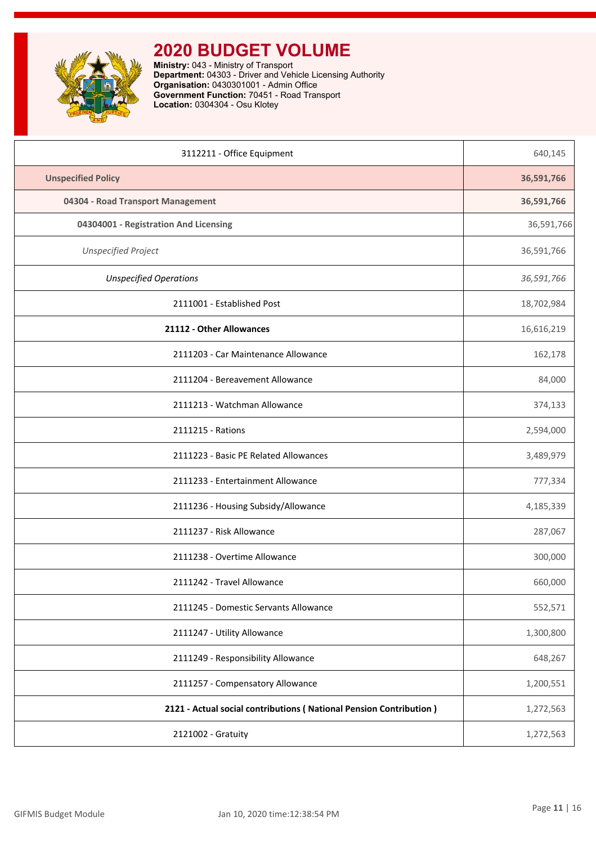

**Ministry:** 043 - Ministry of Transport **Department:** 04303 - Driver and Vehicle Licensing Authority **Organisation:** 0430301001 - Admin Office **Government Function:** 70451 - Road Transport **Location:** 0304304 - Osu Klotey

| 3112211 - Office Equipment                                         | 640,145    |
|--------------------------------------------------------------------|------------|
| <b>Unspecified Policy</b>                                          | 36,591,766 |
| 04304 - Road Transport Management                                  | 36,591,766 |
| 04304001 - Registration And Licensing                              | 36,591,766 |
| <b>Unspecified Project</b>                                         | 36,591,766 |
| <b>Unspecified Operations</b>                                      | 36,591,766 |
| 2111001 - Established Post                                         | 18,702,984 |
| 21112 - Other Allowances                                           | 16,616,219 |
| 2111203 - Car Maintenance Allowance                                | 162,178    |
| 2111204 - Bereavement Allowance                                    | 84,000     |
| 2111213 - Watchman Allowance                                       | 374,133    |
| 2111215 - Rations                                                  | 2,594,000  |
| 2111223 - Basic PE Related Allowances                              | 3,489,979  |
| 2111233 - Entertainment Allowance                                  | 777,334    |
| 2111236 - Housing Subsidy/Allowance                                | 4,185,339  |
| 2111237 - Risk Allowance                                           | 287,067    |
| 2111238 - Overtime Allowance                                       | 300,000    |
| 2111242 - Travel Allowance                                         | 660,000    |
| 2111245 - Domestic Servants Allowance                              | 552,571    |
| 2111247 - Utility Allowance                                        | 1,300,800  |
| 2111249 - Responsibility Allowance                                 | 648,267    |
| 2111257 - Compensatory Allowance                                   | 1,200,551  |
| 2121 - Actual social contributions (National Pension Contribution) | 1,272,563  |
| 2121002 - Gratuity                                                 | 1,272,563  |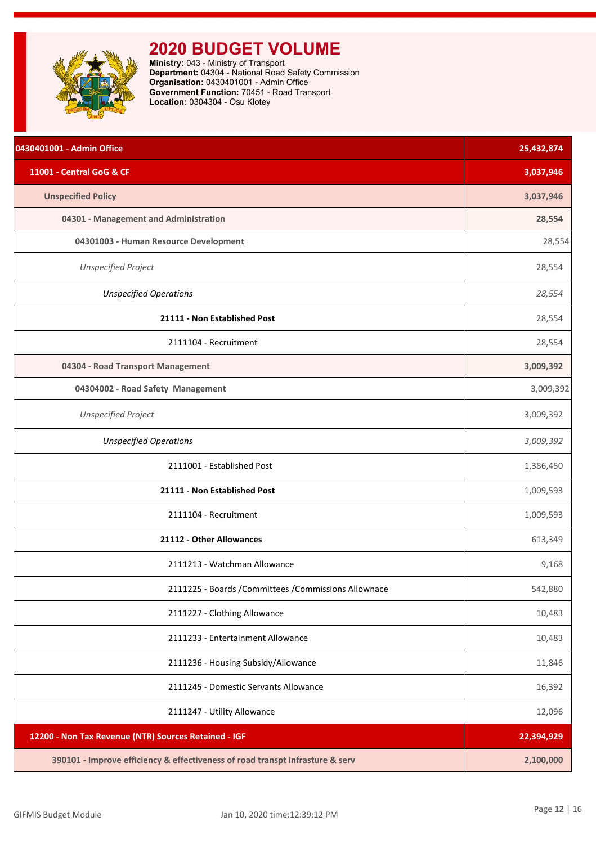<span id="page-12-0"></span>

| 0430401001 - Admin Office                                                     | 25,432,874 |
|-------------------------------------------------------------------------------|------------|
| 11001 - Central GoG & CF                                                      | 3,037,946  |
| <b>Unspecified Policy</b>                                                     | 3,037,946  |
| 04301 - Management and Administration                                         | 28,554     |
| 04301003 - Human Resource Development                                         | 28,554     |
| <b>Unspecified Project</b>                                                    | 28,554     |
| <b>Unspecified Operations</b>                                                 | 28,554     |
| 21111 - Non Established Post                                                  | 28,554     |
| 2111104 - Recruitment                                                         | 28,554     |
| 04304 - Road Transport Management                                             | 3,009,392  |
| 04304002 - Road Safety Management                                             | 3,009,392  |
| <b>Unspecified Project</b>                                                    | 3,009,392  |
| <b>Unspecified Operations</b>                                                 | 3,009,392  |
| 2111001 - Established Post                                                    | 1,386,450  |
| 21111 - Non Established Post                                                  | 1,009,593  |
| 2111104 - Recruitment                                                         | 1,009,593  |
| 21112 - Other Allowances                                                      | 613,349    |
| 2111213 - Watchman Allowance                                                  | 9,168      |
| 2111225 - Boards / Committees / Commissions Allownace                         | 542,880    |
| 2111227 - Clothing Allowance                                                  | 10,483     |
| 2111233 - Entertainment Allowance                                             | 10,483     |
| 2111236 - Housing Subsidy/Allowance                                           | 11,846     |
| 2111245 - Domestic Servants Allowance                                         | 16,392     |
| 2111247 - Utility Allowance                                                   | 12,096     |
| 12200 - Non Tax Revenue (NTR) Sources Retained - IGF                          | 22,394,929 |
| 390101 - Improve efficiency & effectiveness of road transpt infrasture & serv | 2,100,000  |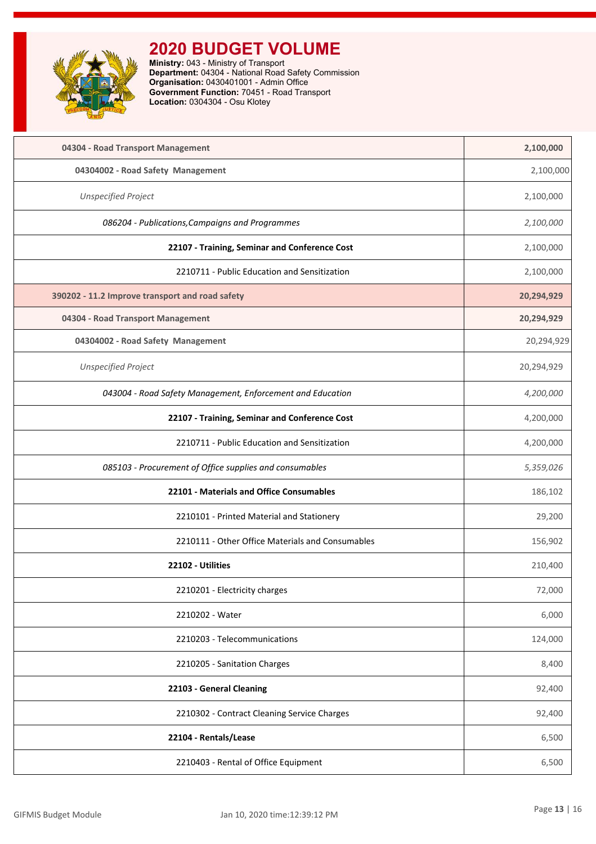

| 04304 - Road Transport Management                          | 2,100,000  |
|------------------------------------------------------------|------------|
| 04304002 - Road Safety Management                          | 2,100,000  |
| <b>Unspecified Project</b>                                 | 2,100,000  |
| 086204 - Publications, Campaigns and Programmes            | 2,100,000  |
| 22107 - Training, Seminar and Conference Cost              | 2,100,000  |
| 2210711 - Public Education and Sensitization               | 2,100,000  |
| 390202 - 11.2 Improve transport and road safety            | 20,294,929 |
| 04304 - Road Transport Management                          | 20,294,929 |
| 04304002 - Road Safety Management                          | 20,294,929 |
| <b>Unspecified Project</b>                                 | 20,294,929 |
| 043004 - Road Safety Management, Enforcement and Education | 4,200,000  |
| 22107 - Training, Seminar and Conference Cost              | 4,200,000  |
| 2210711 - Public Education and Sensitization               | 4,200,000  |
| 085103 - Procurement of Office supplies and consumables    | 5,359,026  |
| 22101 - Materials and Office Consumables                   | 186,102    |
| 2210101 - Printed Material and Stationery                  | 29,200     |
| 2210111 - Other Office Materials and Consumables           | 156,902    |
| 22102 - Utilities                                          | 210,400    |
| 2210201 - Electricity charges                              | 72,000     |
| 2210202 - Water                                            | 6,000      |
| 2210203 - Telecommunications                               | 124,000    |
| 2210205 - Sanitation Charges                               | 8,400      |
| 22103 - General Cleaning                                   | 92,400     |
| 2210302 - Contract Cleaning Service Charges                | 92,400     |
| 22104 - Rentals/Lease                                      | 6,500      |
| 2210403 - Rental of Office Equipment                       | 6,500      |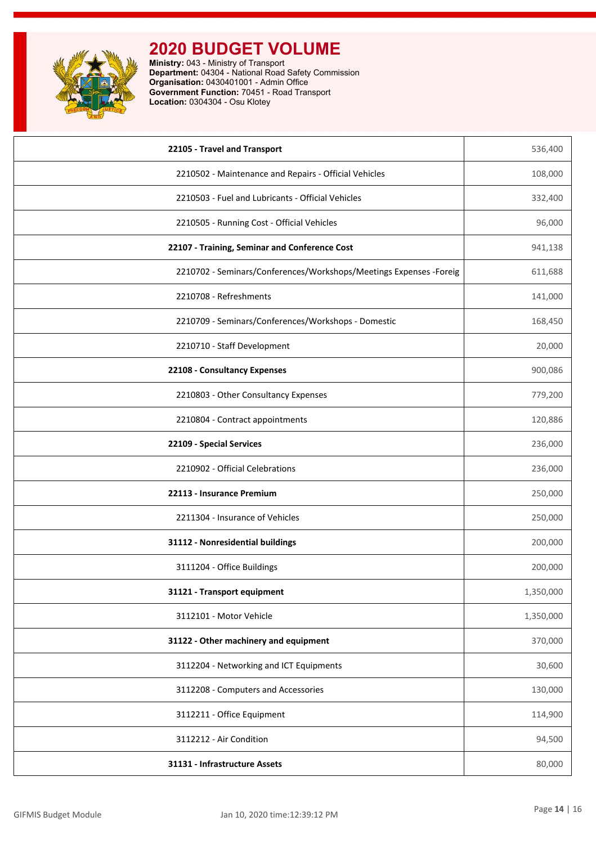

| 22105 - Travel and Transport                                        | 536,400   |
|---------------------------------------------------------------------|-----------|
| 2210502 - Maintenance and Repairs - Official Vehicles               | 108,000   |
| 2210503 - Fuel and Lubricants - Official Vehicles                   | 332,400   |
| 2210505 - Running Cost - Official Vehicles                          | 96,000    |
| 22107 - Training, Seminar and Conference Cost                       | 941,138   |
| 2210702 - Seminars/Conferences/Workshops/Meetings Expenses - Foreig | 611,688   |
| 2210708 - Refreshments                                              | 141,000   |
| 2210709 - Seminars/Conferences/Workshops - Domestic                 | 168,450   |
| 2210710 - Staff Development                                         | 20,000    |
| 22108 - Consultancy Expenses                                        | 900,086   |
| 2210803 - Other Consultancy Expenses                                | 779,200   |
| 2210804 - Contract appointments                                     | 120,886   |
| 22109 - Special Services                                            | 236,000   |
| 2210902 - Official Celebrations                                     | 236,000   |
| 22113 - Insurance Premium                                           | 250,000   |
| 2211304 - Insurance of Vehicles                                     | 250,000   |
| 31112 - Nonresidential buildings                                    | 200,000   |
| 3111204 - Office Buildings                                          | 200,000   |
| 31121 - Transport equipment                                         | 1,350,000 |
| 3112101 - Motor Vehicle                                             | 1,350,000 |
| 31122 - Other machinery and equipment                               | 370,000   |
| 3112204 - Networking and ICT Equipments                             | 30,600    |
| 3112208 - Computers and Accessories                                 | 130,000   |
| 3112211 - Office Equipment                                          | 114,900   |
| 3112212 - Air Condition                                             | 94,500    |
| 31131 - Infrastructure Assets                                       | 80,000    |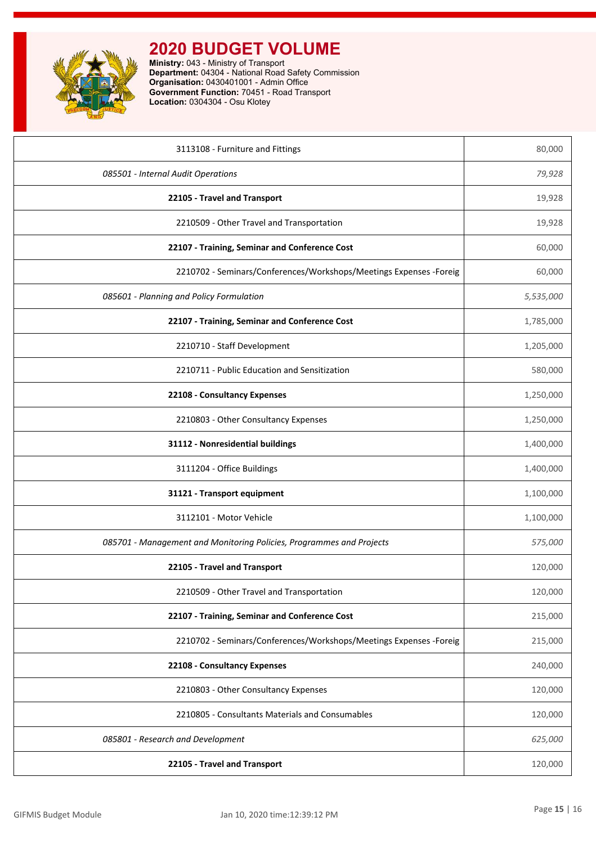

| 3113108 - Furniture and Fittings                                     | 80,000    |
|----------------------------------------------------------------------|-----------|
| 085501 - Internal Audit Operations                                   | 79,928    |
| 22105 - Travel and Transport                                         | 19,928    |
| 2210509 - Other Travel and Transportation                            | 19,928    |
| 22107 - Training, Seminar and Conference Cost                        | 60,000    |
| 2210702 - Seminars/Conferences/Workshops/Meetings Expenses -Foreig   | 60,000    |
| 085601 - Planning and Policy Formulation                             | 5,535,000 |
| 22107 - Training, Seminar and Conference Cost                        | 1,785,000 |
| 2210710 - Staff Development                                          | 1,205,000 |
| 2210711 - Public Education and Sensitization                         | 580,000   |
| 22108 - Consultancy Expenses                                         | 1,250,000 |
| 2210803 - Other Consultancy Expenses                                 | 1,250,000 |
| 31112 - Nonresidential buildings                                     | 1,400,000 |
| 3111204 - Office Buildings                                           | 1,400,000 |
| 31121 - Transport equipment                                          | 1,100,000 |
| 3112101 - Motor Vehicle                                              | 1,100,000 |
| 085701 - Management and Monitoring Policies, Programmes and Projects | 575,000   |
| 22105 - Travel and Transport                                         | 120,000   |
| 2210509 - Other Travel and Transportation                            | 120,000   |
| 22107 - Training, Seminar and Conference Cost                        | 215,000   |
| 2210702 - Seminars/Conferences/Workshops/Meetings Expenses -Foreig   | 215,000   |
| 22108 - Consultancy Expenses                                         | 240,000   |
| 2210803 - Other Consultancy Expenses                                 | 120,000   |
| 2210805 - Consultants Materials and Consumables                      | 120,000   |
| 085801 - Research and Development                                    | 625,000   |
| 22105 - Travel and Transport                                         | 120,000   |